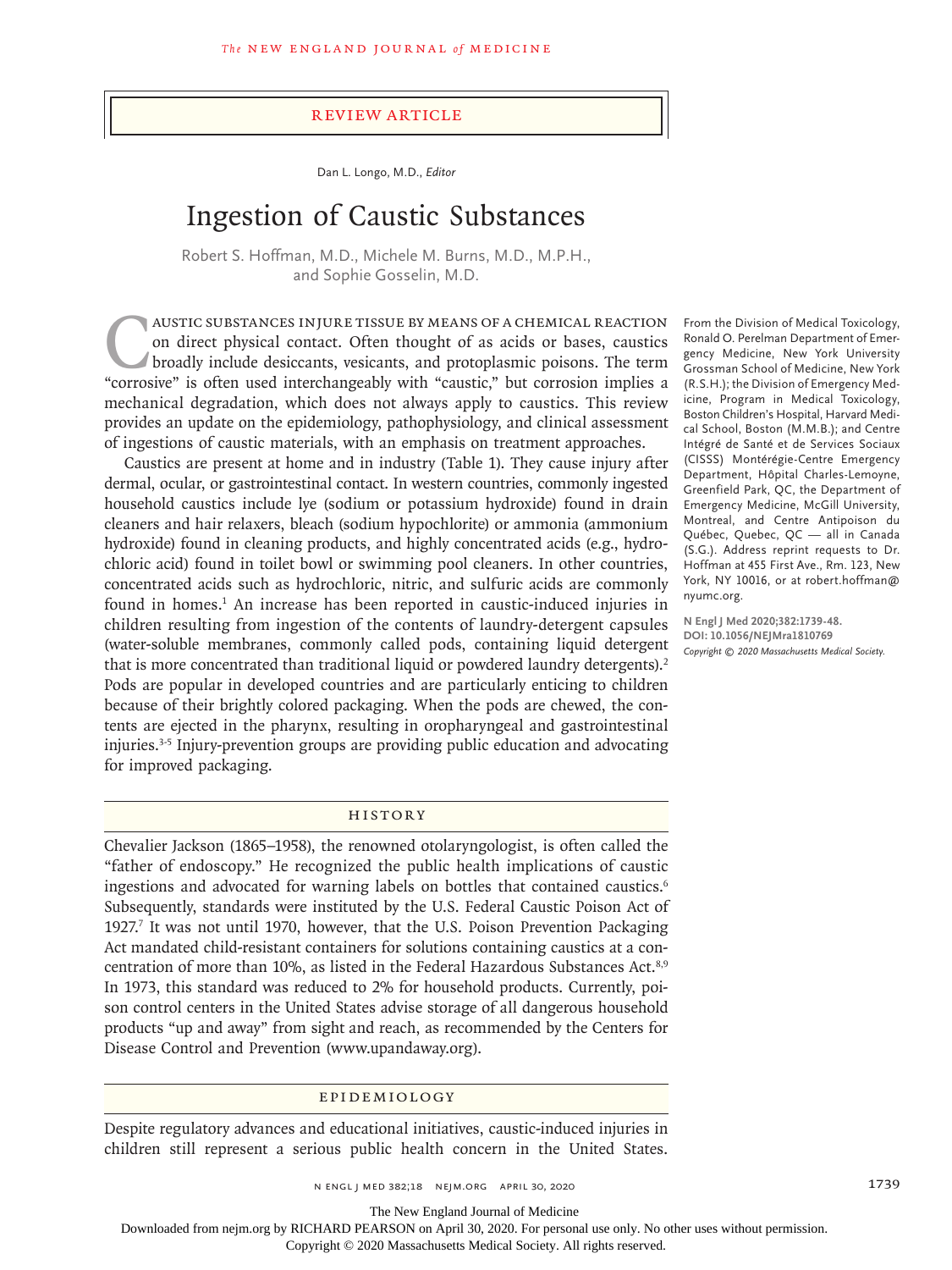#### Review Article

Dan L. Longo, M.D., *Editor*

# Ingestion of Caustic Substances

Robert S. Hoffman, M.D., Michele M. Burns, M.D., M.P.H., and Sophie Gosselin, M.D.

AUSTIC SUBSTANCES INJURE TISSUE BY MEANS OF A CHEMICAL REACTION on direct physical contact. Often thought of as acids or bases, caustics broadly include desiccants, vesicants, and protoplasmic poisons. The term "corrosive" is often used interchangeably with "caustic," but corrosion implies a mechanical degradation, which does not always apply to caustics. This review provides an update on the epidemiology, pathophysiology, and clinical assessment of ingestions of caustic materials, with an emphasis on treatment approaches.

Caustics are present at home and in industry (Table 1). They cause injury after dermal, ocular, or gastrointestinal contact. In western countries, commonly ingested household caustics include lye (sodium or potassium hydroxide) found in drain cleaners and hair relaxers, bleach (sodium hypochlorite) or ammonia (ammonium hydroxide) found in cleaning products, and highly concentrated acids (e.g., hydrochloric acid) found in toilet bowl or swimming pool cleaners. In other countries, concentrated acids such as hydrochloric, nitric, and sulfuric acids are commonly found in homes.<sup>1</sup> An increase has been reported in caustic-induced injuries in children resulting from ingestion of the contents of laundry-detergent capsules (water-soluble membranes, commonly called pods, containing liquid detergent that is more concentrated than traditional liquid or powdered laundry detergents).<sup>2</sup> Pods are popular in developed countries and are particularly enticing to children because of their brightly colored packaging. When the pods are chewed, the contents are ejected in the pharynx, resulting in oropharyngeal and gastrointestinal injuries.3-5 Injury-prevention groups are providing public education and advocating for improved packaging.

# History

Chevalier Jackson (1865–1958), the renowned otolaryngologist, is often called the "father of endoscopy." He recognized the public health implications of caustic ingestions and advocated for warning labels on bottles that contained caustics.<sup>6</sup> Subsequently, standards were instituted by the U.S. Federal Caustic Poison Act of 1927.<sup>7</sup> It was not until 1970, however, that the U.S. Poison Prevention Packaging Act mandated child-resistant containers for solutions containing caustics at a concentration of more than 10%, as listed in the Federal Hazardous Substances Act.<sup>8,9</sup> In 1973, this standard was reduced to 2% for household products. Currently, poison control centers in the United States advise storage of all dangerous household products "up and away" from sight and reach, as recommended by the Centers for Disease Control and Prevention (www.upandaway.org).

# Epidemiology

Despite regulatory advances and educational initiatives, caustic-induced injuries in children still represent a serious public health concern in the United States.

From the Division of Medical Toxicology, Ronald O. Perelman Department of Emergency Medicine, New York University Grossman School of Medicine, New York (R.S.H.); the Division of Emergency Medicine, Program in Medical Toxicology, Boston Children's Hospital, Harvard Medical School, Boston (M.M.B.); and Centre Intégré de Santé et de Services Sociaux (CISSS) Montérégie-Centre Emergency Department, Hôpital Charles-Lemoyne, Greenfield Park, QC, the Department of Emergency Medicine, McGill University, Montreal, and Centre Antipoison du Québec, Quebec, QC — all in Canada (S.G.). Address reprint requests to Dr. Hoffman at 455 First Ave., Rm. 123, New York, NY 10016, or at robert.hoffman@ nyumc.org.

**N Engl J Med 2020;382:1739-48. DOI: 10.1056/NEJMra1810769** *Copyright © 2020 Massachusetts Medical Society.*

n engl j med 382;18 nejm.org April 30, 2020 1739

The New England Journal of Medicine

Downloaded from nejm.org by RICHARD PEARSON on April 30, 2020. For personal use only. No other uses without permission.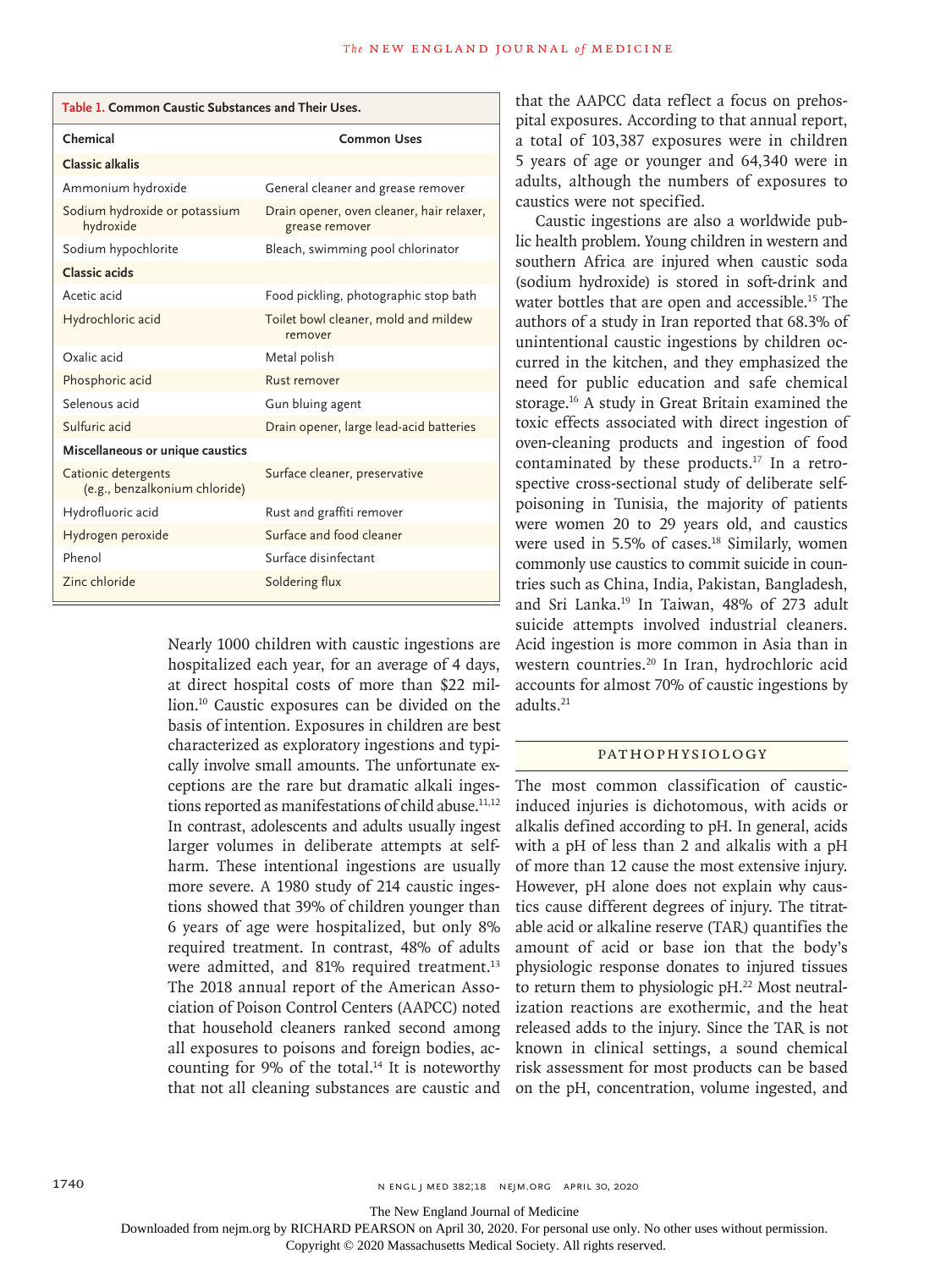| Table 1. Common Caustic Substances and Their Uses.   |                                                             |  |
|------------------------------------------------------|-------------------------------------------------------------|--|
| Chemical                                             | <b>Common Uses</b>                                          |  |
| <b>Classic alkalis</b>                               |                                                             |  |
| Ammonium hydroxide                                   | General cleaner and grease remover                          |  |
| Sodium hydroxide or potassium<br>hydroxide           | Drain opener, oven cleaner, hair relaxer,<br>grease remover |  |
| Sodium hypochlorite                                  | Bleach, swimming pool chlorinator                           |  |
| Classic acids                                        |                                                             |  |
| Acetic acid                                          | Food pickling, photographic stop bath                       |  |
| Hydrochloric acid                                    | Toilet bowl cleaner, mold and mildew<br>remover             |  |
| Oxalic acid                                          | Metal polish                                                |  |
| Phosphoric acid                                      | Rust remover                                                |  |
| Selenous acid                                        | Gun bluing agent                                            |  |
| Sulfuric acid                                        | Drain opener, large lead-acid batteries                     |  |
| Miscellaneous or unique caustics                     |                                                             |  |
| Cationic detergents<br>(e.g., benzalkonium chloride) | Surface cleaner, preservative                               |  |
| Hydrofluoric acid                                    | Rust and graffiti remover                                   |  |
| Hydrogen peroxide                                    | Surface and food cleaner                                    |  |
| Phenol                                               | Surface disinfectant                                        |  |
| Zinc chloride                                        | Soldering flux                                              |  |

Nearly 1000 children with caustic ingestions are hospitalized each year, for an average of 4 days, at direct hospital costs of more than \$22 million.10 Caustic exposures can be divided on the basis of intention. Exposures in children are best characterized as exploratory ingestions and typically involve small amounts. The unfortunate exceptions are the rare but dramatic alkali ingestions reported as manifestations of child abuse. $11,12$ In contrast, adolescents and adults usually ingest larger volumes in deliberate attempts at selfharm. These intentional ingestions are usually more severe. A 1980 study of 214 caustic ingestions showed that 39% of children younger than 6 years of age were hospitalized, but only 8% required treatment. In contrast, 48% of adults were admitted, and 81% required treatment.<sup>13</sup> The 2018 annual report of the American Association of Poison Control Centers (AAPCC) noted that household cleaners ranked second among all exposures to poisons and foreign bodies, accounting for  $9\%$  of the total.<sup>14</sup> It is noteworthy that not all cleaning substances are caustic and

that the AAPCC data reflect a focus on prehospital exposures. According to that annual report, a total of 103,387 exposures were in children 5 years of age or younger and 64,340 were in adults, although the numbers of exposures to caustics were not specified.

Caustic ingestions are also a worldwide public health problem. Young children in western and southern Africa are injured when caustic soda (sodium hydroxide) is stored in soft-drink and water bottles that are open and accessible.<sup>15</sup> The authors of a study in Iran reported that 68.3% of unintentional caustic ingestions by children occurred in the kitchen, and they emphasized the need for public education and safe chemical storage.16 A study in Great Britain examined the toxic effects associated with direct ingestion of oven-cleaning products and ingestion of food contaminated by these products.17 In a retrospective cross-sectional study of deliberate selfpoisoning in Tunisia, the majority of patients were women 20 to 29 years old, and caustics were used in 5.5% of cases.<sup>18</sup> Similarly, women commonly use caustics to commit suicide in countries such as China, India, Pakistan, Bangladesh, and Sri Lanka.19 In Taiwan, 48% of 273 adult suicide attempts involved industrial cleaners. Acid ingestion is more common in Asia than in western countries.<sup>20</sup> In Iran, hydrochloric acid accounts for almost 70% of caustic ingestions by adults.21

#### Pathophysiology

The most common classification of causticinduced injuries is dichotomous, with acids or alkalis defined according to pH. In general, acids with a pH of less than 2 and alkalis with a pH of more than 12 cause the most extensive injury. However, pH alone does not explain why caustics cause different degrees of injury. The titratable acid or alkaline reserve (TAR) quantifies the amount of acid or base ion that the body's physiologic response donates to injured tissues to return them to physiologic pH.<sup>22</sup> Most neutralization reactions are exothermic, and the heat released adds to the injury. Since the TAR is not known in clinical settings, a sound chemical risk assessment for most products can be based on the pH, concentration, volume ingested, and

The New England Journal of Medicine

Downloaded from nejm.org by RICHARD PEARSON on April 30, 2020. For personal use only. No other uses without permission.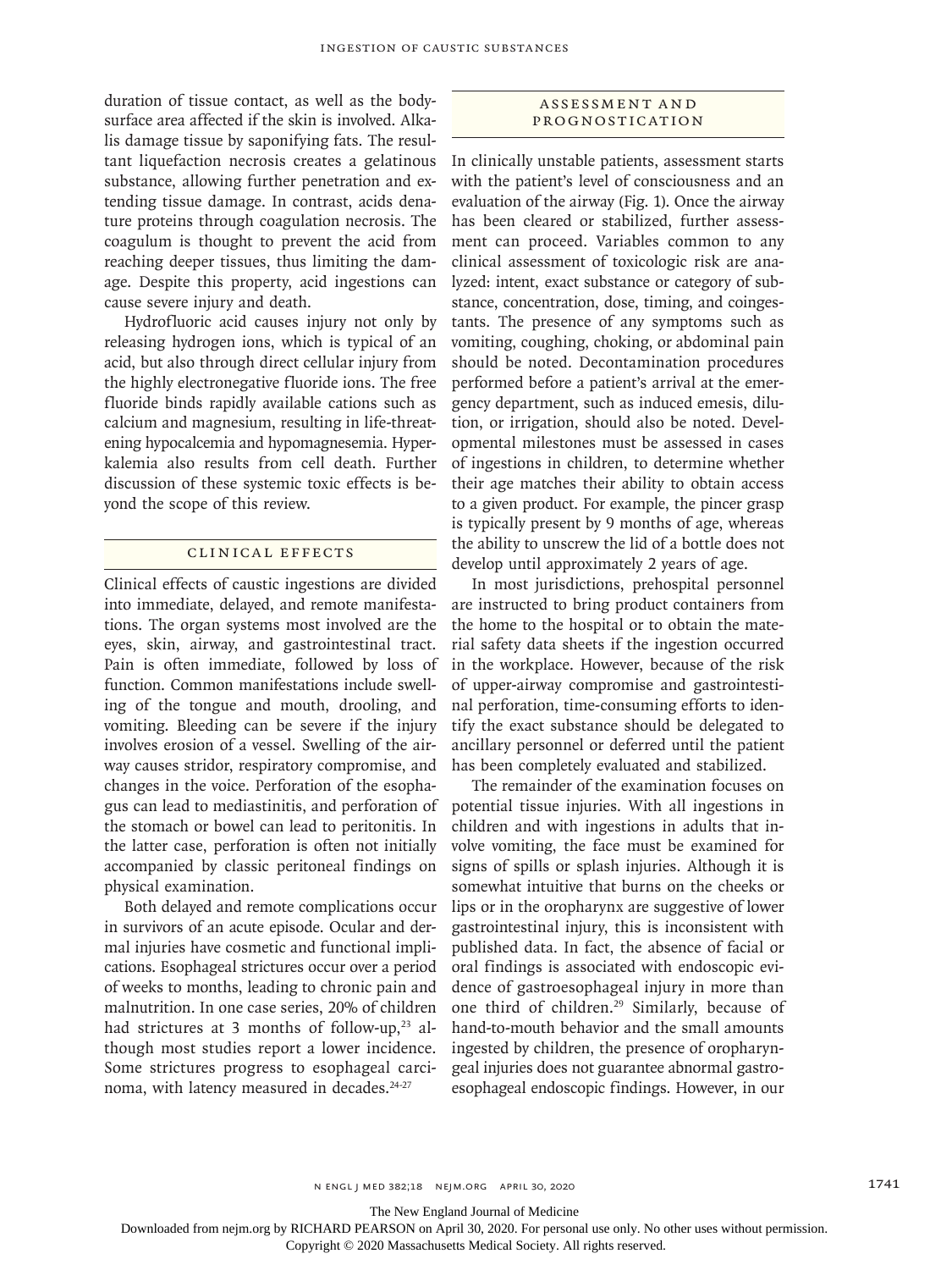duration of tissue contact, as well as the bodysurface area affected if the skin is involved. Alkalis damage tissue by saponifying fats. The resultant liquefaction necrosis creates a gelatinous substance, allowing further penetration and extending tissue damage. In contrast, acids denature proteins through coagulation necrosis. The coagulum is thought to prevent the acid from reaching deeper tissues, thus limiting the damage. Despite this property, acid ingestions can cause severe injury and death.

Hydrofluoric acid causes injury not only by releasing hydrogen ions, which is typical of an acid, but also through direct cellular injury from the highly electronegative fluoride ions. The free fluoride binds rapidly available cations such as calcium and magnesium, resulting in life-threatening hypocalcemia and hypomagnesemia. Hyperkalemia also results from cell death. Further discussion of these systemic toxic effects is beyond the scope of this review.

#### Clinical Effects

Clinical effects of caustic ingestions are divided into immediate, delayed, and remote manifestations. The organ systems most involved are the eyes, skin, airway, and gastrointestinal tract. Pain is often immediate, followed by loss of function. Common manifestations include swelling of the tongue and mouth, drooling, and vomiting. Bleeding can be severe if the injury involves erosion of a vessel. Swelling of the airway causes stridor, respiratory compromise, and changes in the voice. Perforation of the esophagus can lead to mediastinitis, and perforation of the stomach or bowel can lead to peritonitis. In the latter case, perforation is often not initially accompanied by classic peritoneal findings on physical examination.

Both delayed and remote complications occur in survivors of an acute episode. Ocular and dermal injuries have cosmetic and functional implications. Esophageal strictures occur over a period of weeks to months, leading to chronic pain and malnutrition. In one case series, 20% of children had strictures at 3 months of follow-up, $23$  although most studies report a lower incidence. Some strictures progress to esophageal carcinoma, with latency measured in decades.<sup>24-27</sup>

## ASSESSMENT AND Prognostication

In clinically unstable patients, assessment starts with the patient's level of consciousness and an evaluation of the airway (Fig. 1). Once the airway has been cleared or stabilized, further assessment can proceed. Variables common to any clinical assessment of toxicologic risk are analyzed: intent, exact substance or category of substance, concentration, dose, timing, and coingestants. The presence of any symptoms such as vomiting, coughing, choking, or abdominal pain should be noted. Decontamination procedures performed before a patient's arrival at the emergency department, such as induced emesis, dilution, or irrigation, should also be noted. Developmental milestones must be assessed in cases of ingestions in children, to determine whether their age matches their ability to obtain access to a given product. For example, the pincer grasp is typically present by 9 months of age, whereas the ability to unscrew the lid of a bottle does not develop until approximately 2 years of age.

In most jurisdictions, prehospital personnel are instructed to bring product containers from the home to the hospital or to obtain the material safety data sheets if the ingestion occurred in the workplace. However, because of the risk of upper-airway compromise and gastrointestinal perforation, time-consuming efforts to identify the exact substance should be delegated to ancillary personnel or deferred until the patient has been completely evaluated and stabilized.

The remainder of the examination focuses on potential tissue injuries. With all ingestions in children and with ingestions in adults that involve vomiting, the face must be examined for signs of spills or splash injuries. Although it is somewhat intuitive that burns on the cheeks or lips or in the oropharynx are suggestive of lower gastrointestinal injury, this is inconsistent with published data. In fact, the absence of facial or oral findings is associated with endoscopic evidence of gastroesophageal injury in more than one third of children.29 Similarly, because of hand-to-mouth behavior and the small amounts ingested by children, the presence of oropharyngeal injuries does not guarantee abnormal gastroesophageal endoscopic findings. However, in our

The New England Journal of Medicine

Downloaded from nejm.org by RICHARD PEARSON on April 30, 2020. For personal use only. No other uses without permission.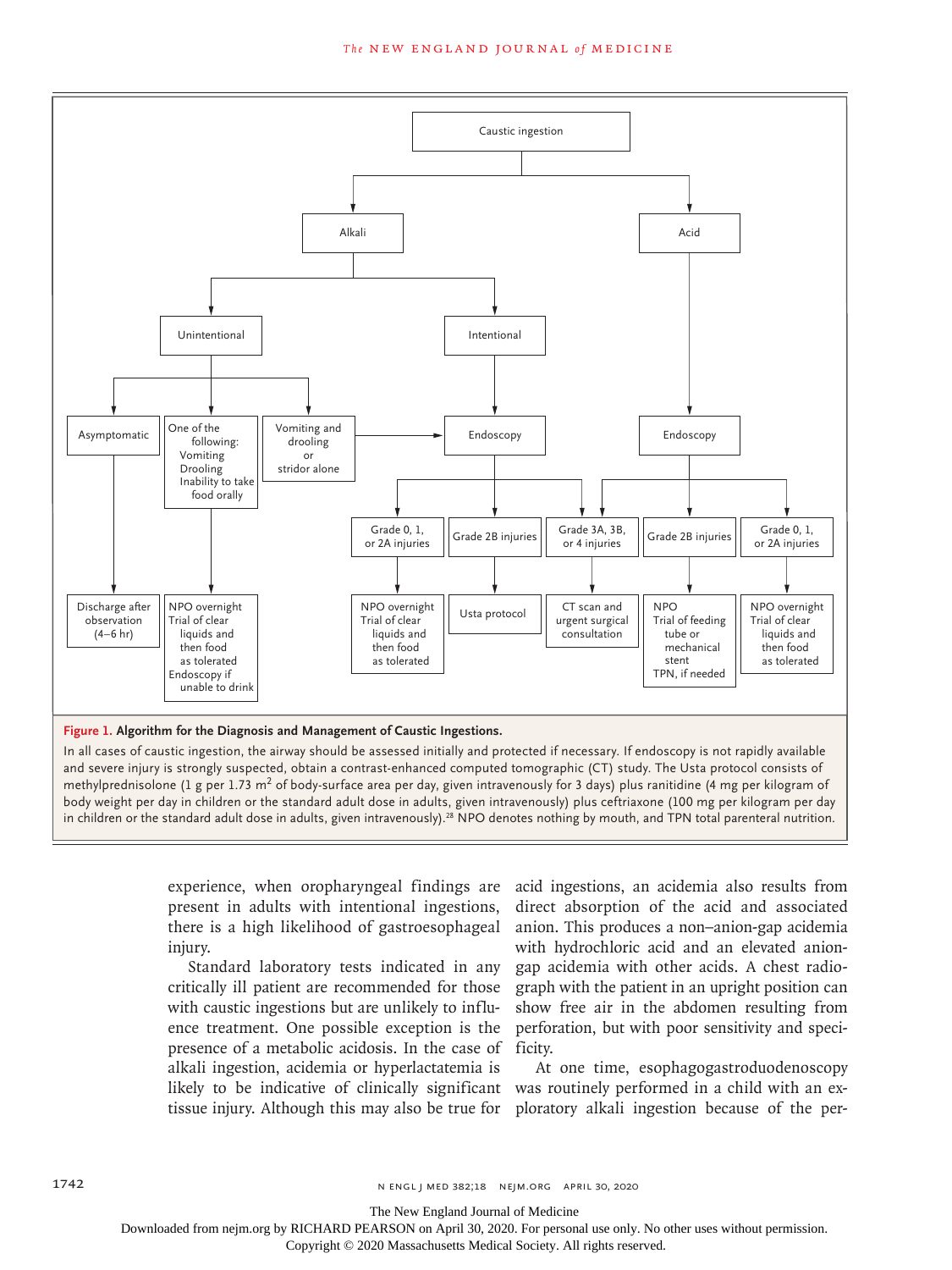

In all cases of caustic ingestion, the airway should be assessed initially and protected if necessary. If endoscopy is not rapidly available and severe injury is strongly suspected, obtain a contrast-enhanced computed tomographic (CT) study. The Usta protocol consists of methylprednisolone (1 g per 1.73  $m^2$  of body-surface area per day, given intravenously for 3 days) plus ranitidine (4 mg per kilogram of body weight per day in children or the standard adult dose in adults, given intravenously) plus ceftriaxone (100 mg per kilogram per day in children or the standard adult dose in adults, given intravenously).<sup>28</sup> NPO denotes nothing by mouth, and TPN total parenteral nutrition.

> experience, when oropharyngeal findings are present in adults with intentional ingestions, there is a high likelihood of gastroesophageal injury.

Standard laboratory tests indicated in any critically ill patient are recommended for those with caustic ingestions but are unlikely to influence treatment. One possible exception is the presence of a metabolic acidosis. In the case of ficity. alkali ingestion, acidemia or hyperlactatemia is

acid ingestions, an acidemia also results from direct absorption of the acid and associated anion. This produces a non–anion-gap acidemia with hydrochloric acid and an elevated aniongap acidemia with other acids. A chest radiograph with the patient in an upright position can show free air in the abdomen resulting from perforation, but with poor sensitivity and speci-

likely to be indicative of clinically significant was routinely performed in a child with an extissue injury. Although this may also be true for ploratory alkali ingestion because of the per-At one time, esophagogastroduodenoscopy

The New England Journal of Medicine

Downloaded from nejm.org by RICHARD PEARSON on April 30, 2020. For personal use only. No other uses without permission.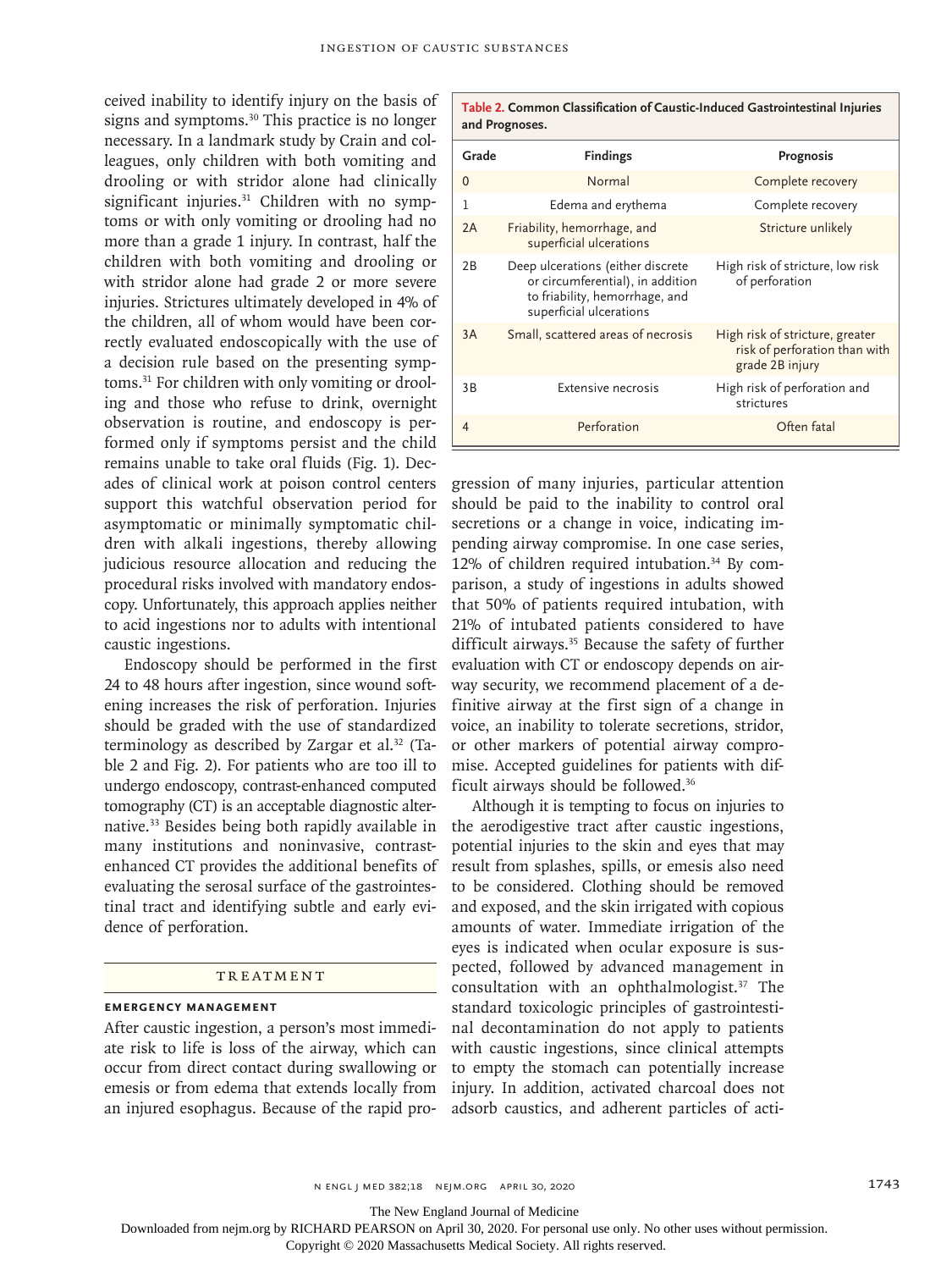ceived inability to identify injury on the basis of signs and symptoms.<sup>30</sup> This practice is no longer necessary. In a landmark study by Crain and colleagues, only children with both vomiting and drooling or with stridor alone had clinically significant injuries.<sup>31</sup> Children with no symptoms or with only vomiting or drooling had no more than a grade 1 injury. In contrast, half the children with both vomiting and drooling or with stridor alone had grade 2 or more severe injuries. Strictures ultimately developed in 4% of the children, all of whom would have been correctly evaluated endoscopically with the use of a decision rule based on the presenting symptoms.31 For children with only vomiting or drooling and those who refuse to drink, overnight observation is routine, and endoscopy is performed only if symptoms persist and the child remains unable to take oral fluids (Fig. 1). Decades of clinical work at poison control centers support this watchful observation period for asymptomatic or minimally symptomatic children with alkali ingestions, thereby allowing judicious resource allocation and reducing the procedural risks involved with mandatory endoscopy. Unfortunately, this approach applies neither to acid ingestions nor to adults with intentional caustic ingestions.

Endoscopy should be performed in the first 24 to 48 hours after ingestion, since wound softening increases the risk of perforation. Injuries should be graded with the use of standardized terminology as described by Zargar et al.<sup>32</sup> (Table 2 and Fig. 2). For patients who are too ill to undergo endoscopy, contrast-enhanced computed tomography (CT) is an acceptable diagnostic alternative.33 Besides being both rapidly available in many institutions and noninvasive, contrastenhanced CT provides the additional benefits of evaluating the serosal surface of the gastrointestinal tract and identifying subtle and early evidence of perforation.

#### TREATMENT

# **Emergency Management**

After caustic ingestion, a person's most immediate risk to life is loss of the airway, which can occur from direct contact during swallowing or emesis or from edema that extends locally from an injured esophagus. Because of the rapid pro-

| Table 2. Common Classification of Caustic-Induced Gastrointestinal Injuries<br>and Prognoses. |                                                                                                                                    |                                                                                     |
|-----------------------------------------------------------------------------------------------|------------------------------------------------------------------------------------------------------------------------------------|-------------------------------------------------------------------------------------|
| Grade                                                                                         | <b>Findings</b>                                                                                                                    | Prognosis                                                                           |
| $\Omega$                                                                                      | Normal                                                                                                                             | Complete recovery                                                                   |
| 1                                                                                             | Edema and erythema                                                                                                                 | Complete recovery                                                                   |
| 2A                                                                                            | Friability, hemorrhage, and<br>superficial ulcerations                                                                             | Stricture unlikely                                                                  |
| 2B                                                                                            | Deep ulcerations (either discrete<br>or circumferential), in addition<br>to friability, hemorrhage, and<br>superficial ulcerations | High risk of stricture, low risk<br>of perforation                                  |
| 3A                                                                                            | Small, scattered areas of necrosis                                                                                                 | High risk of stricture, greater<br>risk of perforation than with<br>grade 2B injury |
| 3B                                                                                            | Extensive necrosis                                                                                                                 | High risk of perforation and<br>strictures                                          |
| $\overline{4}$                                                                                | Perforation                                                                                                                        | Often fatal                                                                         |

gression of many injuries, particular attention should be paid to the inability to control oral secretions or a change in voice, indicating impending airway compromise. In one case series, 12% of children required intubation.<sup>34</sup> By comparison, a study of ingestions in adults showed that 50% of patients required intubation, with 21% of intubated patients considered to have difficult airways.<sup>35</sup> Because the safety of further evaluation with CT or endoscopy depends on airway security, we recommend placement of a definitive airway at the first sign of a change in voice, an inability to tolerate secretions, stridor, or other markers of potential airway compromise. Accepted guidelines for patients with difficult airways should be followed.36

Although it is tempting to focus on injuries to the aerodigestive tract after caustic ingestions, potential injuries to the skin and eyes that may result from splashes, spills, or emesis also need to be considered. Clothing should be removed and exposed, and the skin irrigated with copious amounts of water. Immediate irrigation of the eyes is indicated when ocular exposure is suspected, followed by advanced management in consultation with an ophthalmologist.<sup>37</sup> The standard toxicologic principles of gastrointestinal decontamination do not apply to patients with caustic ingestions, since clinical attempts to empty the stomach can potentially increase injury. In addition, activated charcoal does not adsorb caustics, and adherent particles of acti-

n engl j med 382;18 nejm.org April 30, 2020 1743

The New England Journal of Medicine

Downloaded from nejm.org by RICHARD PEARSON on April 30, 2020. For personal use only. No other uses without permission.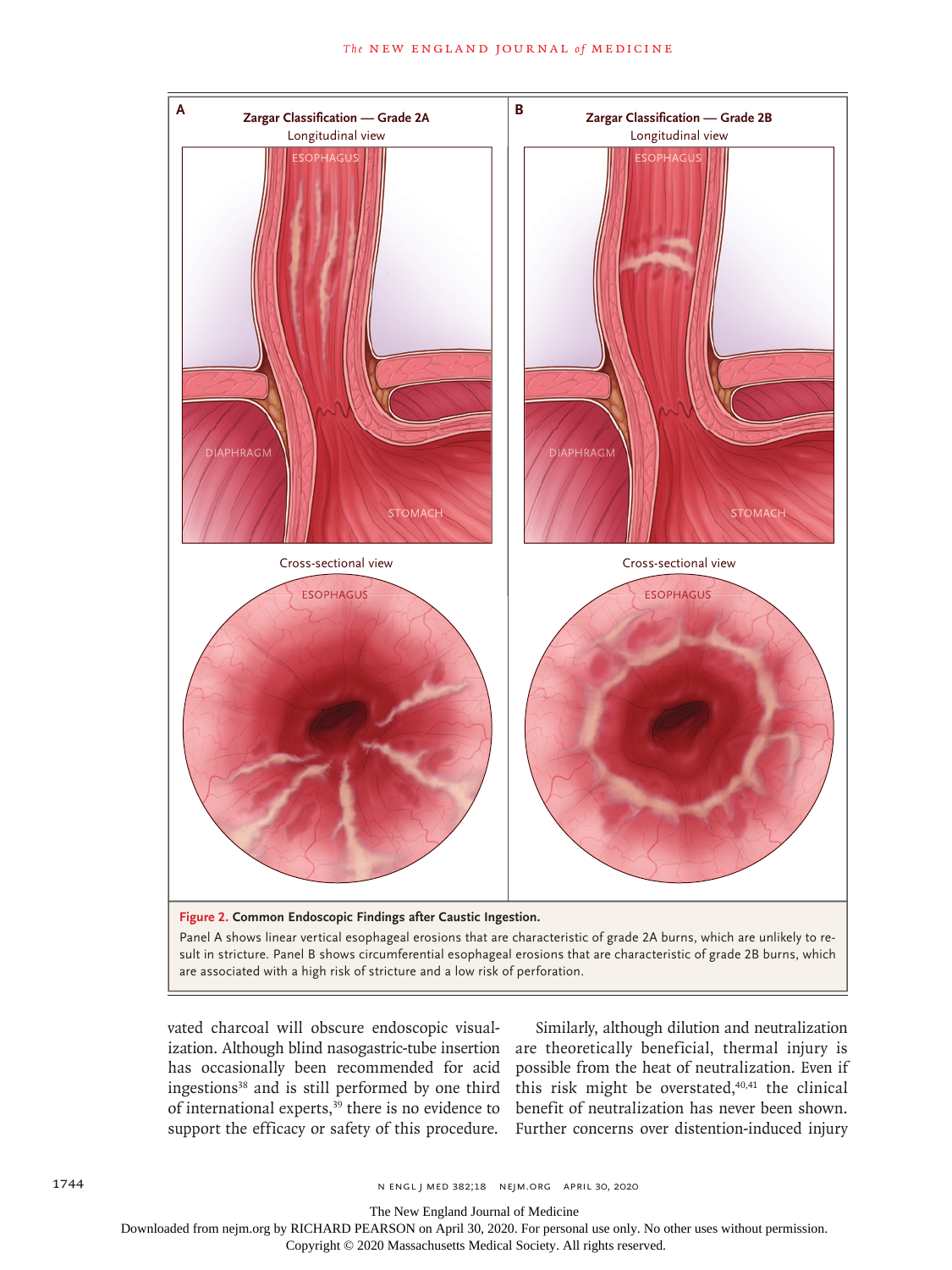

are associated with a high risk of stricture and a low risk of perforation.

vated charcoal will obscure endoscopic visualization. Although blind nasogastric-tube insertion has occasionally been recommended for acid ingestions<sup>38</sup> and is still performed by one third this risk might be overstated, $40,41$  the clinical of international experts,<sup>39</sup> there is no evidence to

support the efficacy or safety of this procedure. Further concerns over distention-induced injury Similarly, although dilution and neutralization are theoretically beneficial, thermal injury is possible from the heat of neutralization. Even if benefit of neutralization has never been shown.

The New England Journal of Medicine

Downloaded from nejm.org by RICHARD PEARSON on April 30, 2020. For personal use only. No other uses without permission.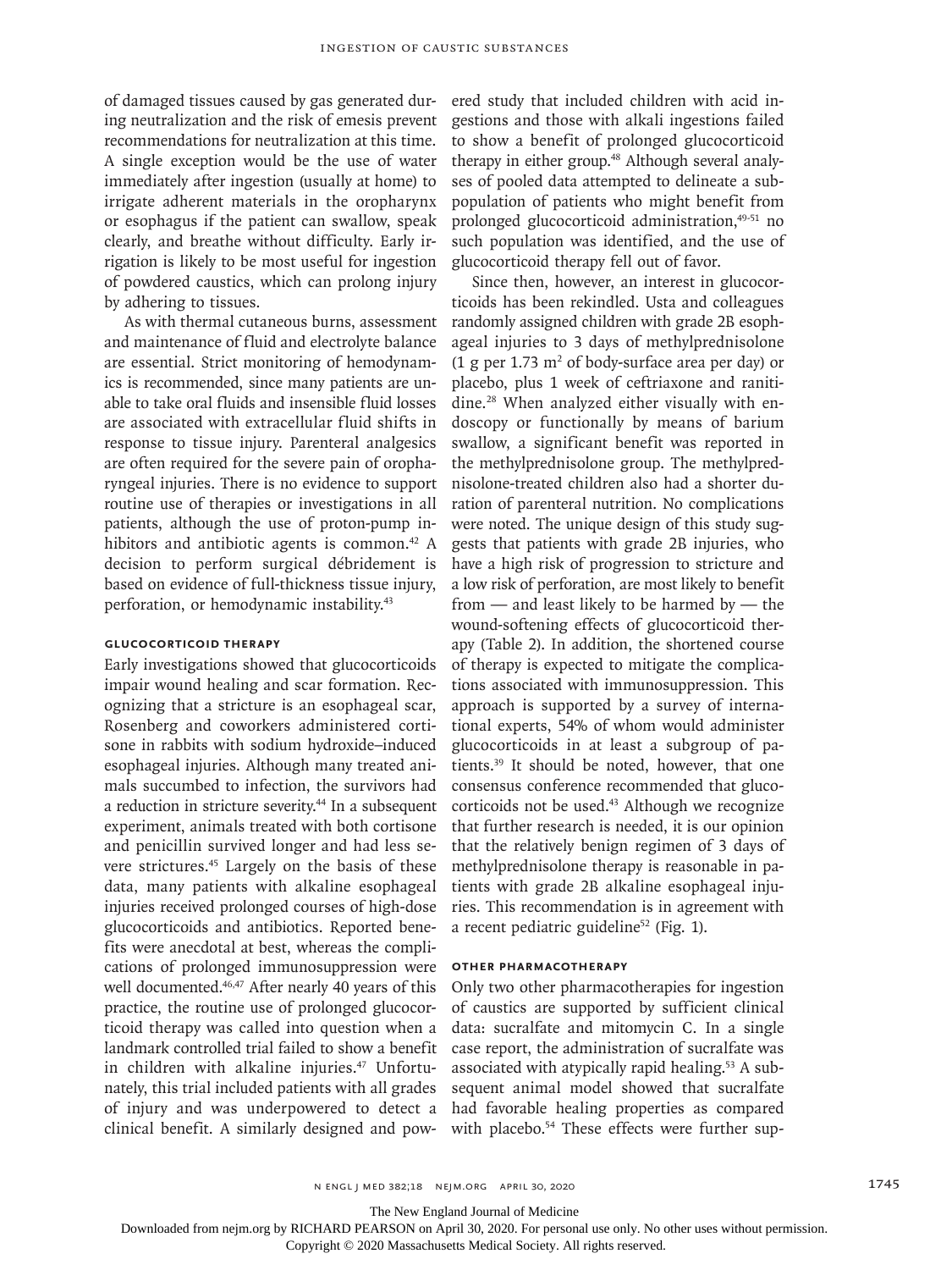of damaged tissues caused by gas generated during neutralization and the risk of emesis prevent recommendations for neutralization at this time. A single exception would be the use of water immediately after ingestion (usually at home) to irrigate adherent materials in the oropharynx or esophagus if the patient can swallow, speak clearly, and breathe without difficulty. Early irrigation is likely to be most useful for ingestion of powdered caustics, which can prolong injury by adhering to tissues.

As with thermal cutaneous burns, assessment and maintenance of fluid and electrolyte balance are essential. Strict monitoring of hemodynamics is recommended, since many patients are unable to take oral fluids and insensible fluid losses are associated with extracellular fluid shifts in response to tissue injury. Parenteral analgesics are often required for the severe pain of oropharyngeal injuries. There is no evidence to support routine use of therapies or investigations in all patients, although the use of proton-pump inhibitors and antibiotic agents is common.<sup>42</sup> A decision to perform surgical débridement is based on evidence of full-thickness tissue injury, perforation, or hemodynamic instability.43

# **Glucocorticoid Therapy**

Early investigations showed that glucocorticoids impair wound healing and scar formation. Recognizing that a stricture is an esophageal scar, Rosenberg and coworkers administered cortisone in rabbits with sodium hydroxide–induced esophageal injuries. Although many treated animals succumbed to infection, the survivors had a reduction in stricture severity.44 In a subsequent experiment, animals treated with both cortisone and penicillin survived longer and had less severe strictures.45 Largely on the basis of these data, many patients with alkaline esophageal injuries received prolonged courses of high-dose glucocorticoids and antibiotics. Reported benefits were anecdotal at best, whereas the complications of prolonged immunosuppression were well documented.<sup>46,47</sup> After nearly 40 years of this practice, the routine use of prolonged glucocorticoid therapy was called into question when a landmark controlled trial failed to show a benefit in children with alkaline injuries.<sup>47</sup> Unfortunately, this trial included patients with all grades of injury and was underpowered to detect a clinical benefit. A similarly designed and powered study that included children with acid ingestions and those with alkali ingestions failed to show a benefit of prolonged glucocorticoid therapy in either group.<sup>48</sup> Although several analyses of pooled data attempted to delineate a subpopulation of patients who might benefit from prolonged glucocorticoid administration,<sup>49-51</sup> no such population was identified, and the use of glucocorticoid therapy fell out of favor.

Since then, however, an interest in glucocorticoids has been rekindled. Usta and colleagues randomly assigned children with grade 2B esophageal injuries to 3 days of methylprednisolone  $(1 \text{ g per } 1.73 \text{ m}^2 \text{ of body-surface area per day})$  or placebo, plus 1 week of ceftriaxone and ranitidine.28 When analyzed either visually with endoscopy or functionally by means of barium swallow, a significant benefit was reported in the methylprednisolone group. The methylprednisolone-treated children also had a shorter duration of parenteral nutrition. No complications were noted. The unique design of this study suggests that patients with grade 2B injuries, who have a high risk of progression to stricture and a low risk of perforation, are most likely to benefit from — and least likely to be harmed by — the wound-softening effects of glucocorticoid therapy (Table 2). In addition, the shortened course of therapy is expected to mitigate the complications associated with immunosuppression. This approach is supported by a survey of international experts, 54% of whom would administer glucocorticoids in at least a subgroup of patients.39 It should be noted, however, that one consensus conference recommended that glucocorticoids not be used.43 Although we recognize that further research is needed, it is our opinion that the relatively benign regimen of 3 days of methylprednisolone therapy is reasonable in patients with grade 2B alkaline esophageal injuries. This recommendation is in agreement with a recent pediatric guideline<sup>52</sup> (Fig. 1).

### **Other Pharmacotherapy**

Only two other pharmacotherapies for ingestion of caustics are supported by sufficient clinical data: sucralfate and mitomycin C. In a single case report, the administration of sucralfate was associated with atypically rapid healing.<sup>53</sup> A subsequent animal model showed that sucralfate had favorable healing properties as compared with placebo.<sup>54</sup> These effects were further sup-

The New England Journal of Medicine

Downloaded from nejm.org by RICHARD PEARSON on April 30, 2020. For personal use only. No other uses without permission.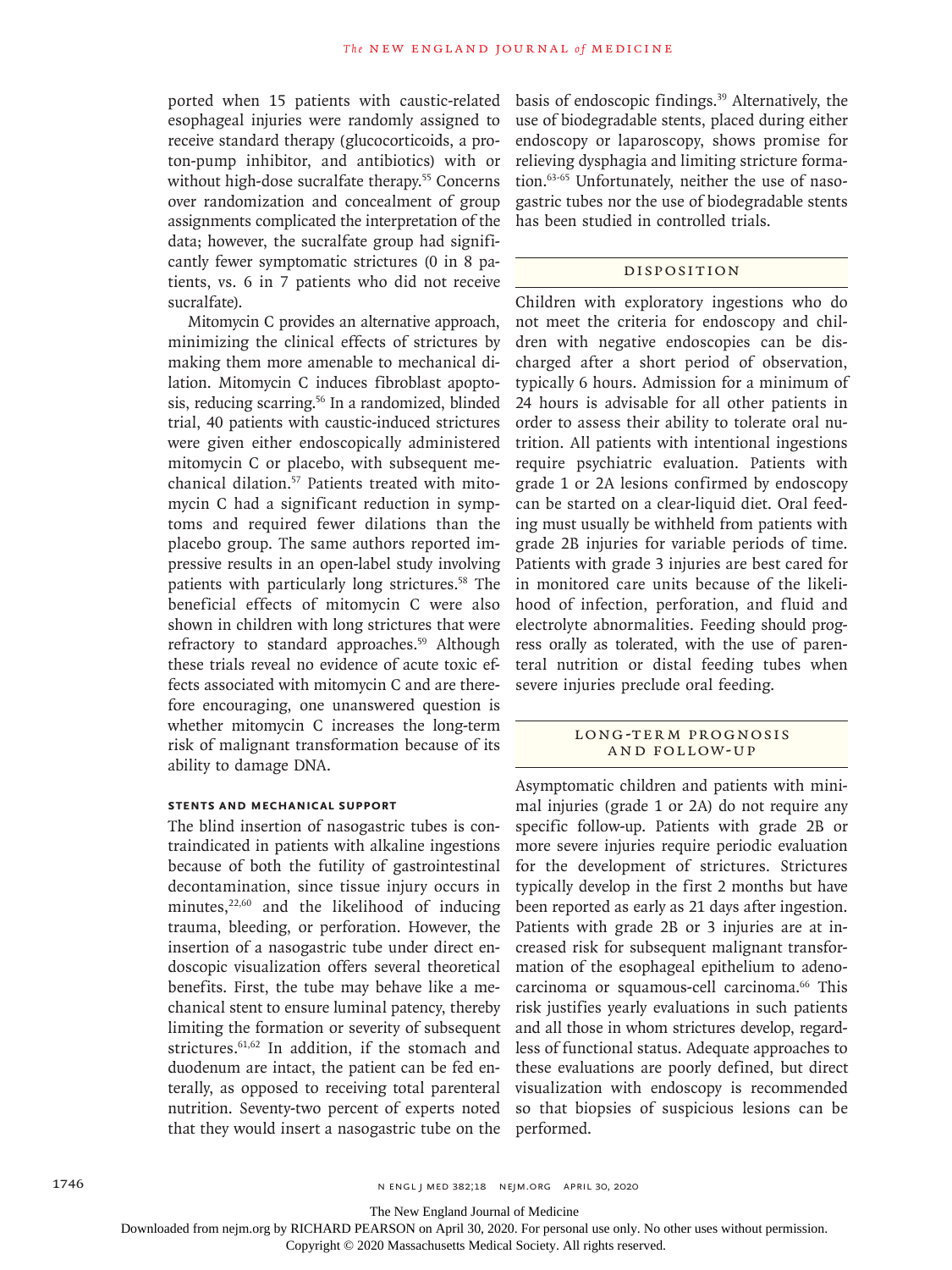ported when 15 patients with caustic-related esophageal injuries were randomly assigned to receive standard therapy (glucocorticoids, a proton-pump inhibitor, and antibiotics) with or without high-dose sucralfate therapy.<sup>55</sup> Concerns over randomization and concealment of group assignments complicated the interpretation of the data; however, the sucralfate group had significantly fewer symptomatic strictures (0 in 8 patients, vs. 6 in 7 patients who did not receive sucralfate).

Mitomycin C provides an alternative approach, minimizing the clinical effects of strictures by making them more amenable to mechanical dilation. Mitomycin C induces fibroblast apoptosis, reducing scarring.<sup>56</sup> In a randomized, blinded trial, 40 patients with caustic-induced strictures were given either endoscopically administered mitomycin C or placebo, with subsequent mechanical dilation.57 Patients treated with mitomycin C had a significant reduction in symptoms and required fewer dilations than the placebo group. The same authors reported impressive results in an open-label study involving patients with particularly long strictures.58 The beneficial effects of mitomycin C were also shown in children with long strictures that were refractory to standard approaches.<sup>59</sup> Although these trials reveal no evidence of acute toxic effects associated with mitomycin C and are therefore encouraging, one unanswered question is whether mitomycin C increases the long-term risk of malignant transformation because of its ability to damage DNA.

# **Stents and Mechanical Support**

The blind insertion of nasogastric tubes is contraindicated in patients with alkaline ingestions because of both the futility of gastrointestinal decontamination, since tissue injury occurs in minutes, $22,60$  and the likelihood of inducing trauma, bleeding, or perforation. However, the insertion of a nasogastric tube under direct endoscopic visualization offers several theoretical benefits. First, the tube may behave like a mechanical stent to ensure luminal patency, thereby limiting the formation or severity of subsequent strictures.61,62 In addition, if the stomach and duodenum are intact, the patient can be fed enterally, as opposed to receiving total parenteral nutrition. Seventy-two percent of experts noted that they would insert a nasogastric tube on the basis of endoscopic findings.39 Alternatively, the use of biodegradable stents, placed during either endoscopy or laparoscopy, shows promise for relieving dysphagia and limiting stricture formation.63-65 Unfortunately, neither the use of nasogastric tubes nor the use of biodegradable stents has been studied in controlled trials.

## Disposition

Children with exploratory ingestions who do not meet the criteria for endoscopy and children with negative endoscopies can be discharged after a short period of observation, typically 6 hours. Admission for a minimum of 24 hours is advisable for all other patients in order to assess their ability to tolerate oral nutrition. All patients with intentional ingestions require psychiatric evaluation. Patients with grade 1 or 2A lesions confirmed by endoscopy can be started on a clear-liquid diet. Oral feeding must usually be withheld from patients with grade 2B injuries for variable periods of time. Patients with grade 3 injuries are best cared for in monitored care units because of the likelihood of infection, perforation, and fluid and electrolyte abnormalities. Feeding should progress orally as tolerated, with the use of parenteral nutrition or distal feeding tubes when severe injuries preclude oral feeding.

## LONG-TERM PROGNOSIS and Follow-up

Asymptomatic children and patients with minimal injuries (grade 1 or 2A) do not require any specific follow-up. Patients with grade 2B or more severe injuries require periodic evaluation for the development of strictures. Strictures typically develop in the first 2 months but have been reported as early as 21 days after ingestion. Patients with grade 2B or 3 injuries are at increased risk for subsequent malignant transformation of the esophageal epithelium to adenocarcinoma or squamous-cell carcinoma.<sup>66</sup> This risk justifies yearly evaluations in such patients and all those in whom strictures develop, regardless of functional status. Adequate approaches to these evaluations are poorly defined, but direct visualization with endoscopy is recommended so that biopsies of suspicious lesions can be performed.

The New England Journal of Medicine

Downloaded from nejm.org by RICHARD PEARSON on April 30, 2020. For personal use only. No other uses without permission.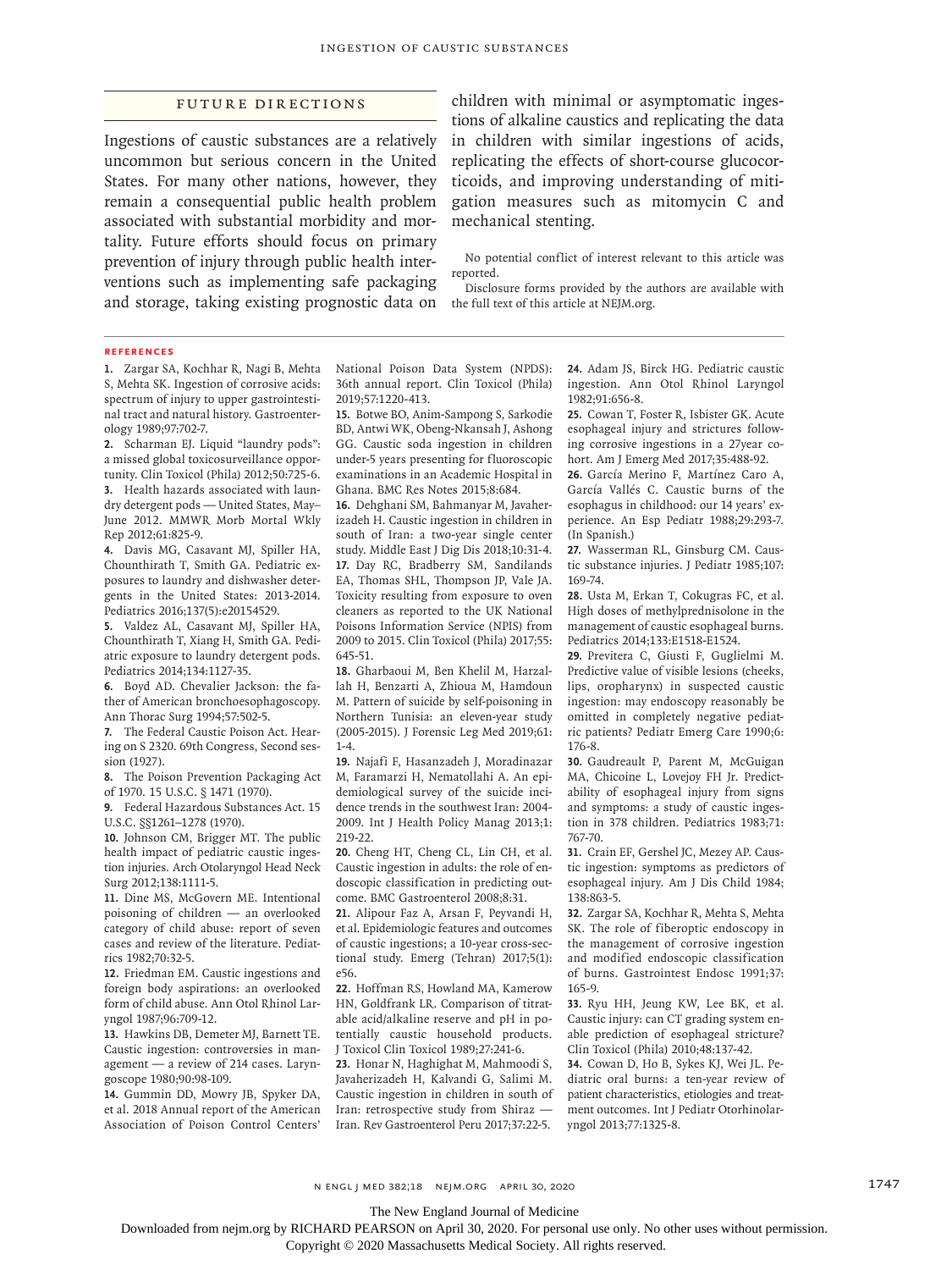#### Future Directions

Ingestions of caustic substances are a relatively uncommon but serious concern in the United States. For many other nations, however, they remain a consequential public health problem associated with substantial morbidity and mortality. Future efforts should focus on primary prevention of injury through public health interventions such as implementing safe packaging and storage, taking existing prognostic data on

children with minimal or asymptomatic ingestions of alkaline caustics and replicating the data in children with similar ingestions of acids, replicating the effects of short-course glucocorticoids, and improving understanding of mitigation measures such as mitomycin C and mechanical stenting.

No potential conflict of interest relevant to this article was reported.

Disclosure forms provided by the authors are available with the full text of this article at NEJM.org.

#### **References**

**1.** Zargar SA, Kochhar R, Nagi B, Mehta S, Mehta SK. Ingestion of corrosive acids: spectrum of injury to upper gastrointestinal tract and natural history. Gastroenterology 1989;97:702-7.

**2.** Scharman EJ. Liquid "laundry pods": a missed global toxicosurveillance opportunity. Clin Toxicol (Phila) 2012;50:725-6. **3.** Health hazards associated with laundry detergent pods — United States, May– June 2012. MMWR Morb Mortal Wkly Rep 2012;61:825-9.

**4.** Davis MG, Casavant MJ, Spiller HA, Chounthirath T, Smith GA. Pediatric exposures to laundry and dishwasher detergents in the United States: 2013-2014. Pediatrics 2016;137(5):e20154529.

**5.** Valdez AL, Casavant MJ, Spiller HA, Chounthirath T, Xiang H, Smith GA. Pediatric exposure to laundry detergent pods. Pediatrics 2014;134:1127-35.

**6.** Boyd AD. Chevalier Jackson: the father of American bronchoesophagoscopy. Ann Thorac Surg 1994;57:502-5.

**7.** The Federal Caustic Poison Act. Hearing on S 2320. 69th Congress, Second session (1927).

**8.** The Poison Prevention Packaging Act of 1970. 15 U.S.C. § 1471 (1970).

**9.** Federal Hazardous Substances Act. 15 U.S.C. §§1261−1278 (1970).

**10.** Johnson CM, Brigger MT. The public health impact of pediatric caustic ingestion injuries. Arch Otolaryngol Head Neck Surg 2012;138:1111-5.

**11.** Dine MS, McGovern ME. Intentional poisoning of children — an overlooked category of child abuse: report of seven cases and review of the literature. Pediatrics 1982;70:32-5.

**12.** Friedman EM. Caustic ingestions and foreign body aspirations: an overlooked form of child abuse. Ann Otol Rhinol Laryngol 1987;96:709-12.

**13.** Hawkins DB, Demeter MJ, Barnett TE. Caustic ingestion: controversies in management — a review of 214 cases. Laryngoscope 1980;90:98-109.

**14.** Gummin DD, Mowry JB, Spyker DA, et al. 2018 Annual report of the American Association of Poison Control Centers'

National Poison Data System (NPDS): 36th annual report. Clin Toxicol (Phila) 2019;57:1220-413.

**15.** Botwe BO, Anim-Sampong S, Sarkodie BD, Antwi WK, Obeng-Nkansah J, Ashong GG. Caustic soda ingestion in children under-5 years presenting for fluoroscopic examinations in an Academic Hospital in Ghana. BMC Res Notes 2015;8:684.

**16.** Dehghani SM, Bahmanyar M, Javaherizadeh H. Caustic ingestion in children in south of Iran: a two-year single center study. Middle East J Dig Dis 2018;10:31-4. **17.** Day RC, Bradberry SM, Sandilands EA, Thomas SHL, Thompson JP, Vale JA. Toxicity resulting from exposure to oven cleaners as reported to the UK National Poisons Information Service (NPIS) from 2009 to 2015. Clin Toxicol (Phila) 2017;55: 645-51.

**18.** Gharbaoui M, Ben Khelil M, Harzallah H, Benzarti A, Zhioua M, Hamdoun M. Pattern of suicide by self-poisoning in Northern Tunisia: an eleven-year study (2005-2015). J Forensic Leg Med 2019;61: 1-4.

**19.** Najafi F, Hasanzadeh J, Moradinazar M, Faramarzi H, Nematollahi A. An epidemiological survey of the suicide incidence trends in the southwest Iran: 2004- 2009. Int J Health Policy Manag 2013;1: 219-22.

**20.** Cheng HT, Cheng CL, Lin CH, et al. Caustic ingestion in adults: the role of endoscopic classification in predicting outcome. BMC Gastroenterol 2008;8:31.

**21.** Alipour Faz A, Arsan F, Peyvandi H, et al. Epidemiologic features and outcomes of caustic ingestions; a 10-year cross-sectional study. Emerg (Tehran) 2017;5(1): e56.

**22.** Hoffman RS, Howland MA, Kamerow HN, Goldfrank LR. Comparison of titratable acid/alkaline reserve and pH in potentially caustic household products. J Toxicol Clin Toxicol 1989;27:241-6.

**23.** Honar N, Haghighat M, Mahmoodi S, Javaherizadeh H, Kalvandi G, Salimi M. Caustic ingestion in children in south of Iran: retrospective study from Shiraz — Iran. Rev Gastroenterol Peru 2017;37:22-5.

**24.** Adam JS, Birck HG. Pediatric caustic ingestion. Ann Otol Rhinol Laryngol 1982;91:656-8.

**25.** Cowan T, Foster R, Isbister GK. Acute esophageal injury and strictures following corrosive ingestions in a 27year cohort. Am J Emerg Med 2017;35:488-92.

**26.** García Merino F, Martínez Caro A, García Vallés C. Caustic burns of the esophagus in childhood: our 14 years' experience. An Esp Pediatr 1988;29:293-7. (In Spanish.)

**27.** Wasserman RL, Ginsburg CM. Caustic substance injuries. J Pediatr 1985;107: 169-74.

**28.** Usta M, Erkan T, Cokugras FC, et al. High doses of methylprednisolone in the management of caustic esophageal burns. Pediatrics 2014;133:E1518-E1524.

**29.** Previtera C, Giusti F, Guglielmi M. Predictive value of visible lesions (cheeks, lips, oropharynx) in suspected caustic ingestion: may endoscopy reasonably be omitted in completely negative pediatric patients? Pediatr Emerg Care 1990;6: 176-8.

**30.** Gaudreault P, Parent M, McGuigan MA, Chicoine L, Lovejoy FH Jr. Predictability of esophageal injury from signs and symptoms: a study of caustic ingestion in 378 children. Pediatrics 1983;71: 767-70.

**31.** Crain EF, Gershel JC, Mezey AP. Caustic ingestion: symptoms as predictors of esophageal injury. Am J Dis Child 1984; 138:863-5.

**32.** Zargar SA, Kochhar R, Mehta S, Mehta SK. The role of fiberoptic endoscopy in the management of corrosive ingestion and modified endoscopic classification of burns. Gastrointest Endosc 1991;37: 165-9.

**33.** Ryu HH, Jeung KW, Lee BK, et al. Caustic injury: can CT grading system enable prediction of esophageal stricture? Clin Toxicol (Phila) 2010;48:137-42.

**34.** Cowan D, Ho B, Sykes KJ, Wei JL. Pediatric oral burns: a ten-year review of patient characteristics, etiologies and treatment outcomes. Int J Pediatr Otorhinolaryngol 2013;77:1325-8.

n engl j med 382;18 nejm.org April 30, 2020 1747

The New England Journal of Medicine

Downloaded from nejm.org by RICHARD PEARSON on April 30, 2020. For personal use only. No other uses without permission.